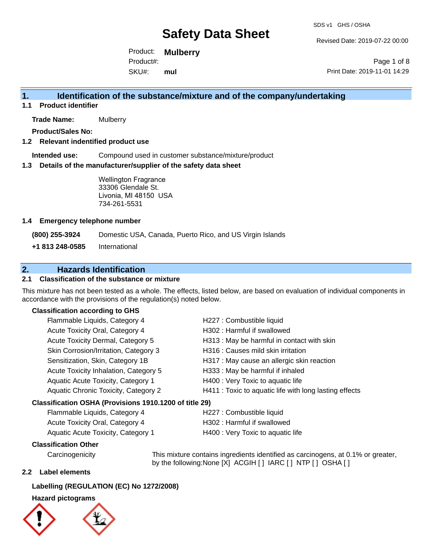SDS v1 GHS / OSHA

Revised Date: 2019-07-22 00:00

Product: **Mulberry**  SKU#: Product#: **mul**

Page 1 of 8 Print Date: 2019-11-01 14:29

# **1. Identification of the substance/mixture and of the company/undertaking**

**1.1 Product identifier**

**Trade Name:** Mulberry

**Product/Sales No:**

## **1.2 Relevant indentified product use**

**Intended use:** Compound used in customer substance/mixture/product

#### **1.3 Details of the manufacturer/supplier of the safety data sheet**

Wellington Fragrance 33306 Glendale St. Livonia, MI 48150 USA 734-261-5531

#### **1.4 Emergency telephone number**

**(800) 255-3924** Domestic USA, Canada, Puerto Rico, and US Virgin Islands

**+1 813 248-0585** International

# **2. Hazards Identification**

## **2.1 Classification of the substance or mixture**

This mixture has not been tested as a whole. The effects, listed below, are based on evaluation of individual components in accordance with the provisions of the regulation(s) noted below.

## **Classification according to GHS**

| Flammable Liquids, Category 4                          | H227 : Combustible liquid                              |  |
|--------------------------------------------------------|--------------------------------------------------------|--|
| Acute Toxicity Oral, Category 4                        | H302: Harmful if swallowed                             |  |
| Acute Toxicity Dermal, Category 5                      | H313 : May be harmful in contact with skin             |  |
| Skin Corrosion/Irritation, Category 3                  | H316 : Causes mild skin irritation                     |  |
| Sensitization, Skin, Category 1B                       | H317 : May cause an allergic skin reaction             |  |
| Acute Toxicity Inhalation, Category 5                  | H333: May be harmful if inhaled                        |  |
| Aquatic Acute Toxicity, Category 1                     | H400 : Very Toxic to aquatic life                      |  |
| Aquatic Chronic Toxicity, Category 2                   | H411 : Toxic to aquatic life with long lasting effects |  |
| Classification OSHA (Provisions 1910.1200 of title 29) |                                                        |  |

| Flammable Liquids, Category 4      | H227 : Combustible liquid         |
|------------------------------------|-----------------------------------|
| Acute Toxicity Oral, Category 4    | H302 : Harmful if swallowed       |
| Aquatic Acute Toxicity, Category 1 | H400 : Very Toxic to aquatic life |

## **Classification Other**

Carcinogenicity This mixture contains ingredients identified as carcinogens, at 0.1% or greater, by the following:None [X] ACGIH [ ] IARC [ ] NTP [ ] OSHA [ ]

## **2.2 Label elements**

## **Labelling (REGULATION (EC) No 1272/2008)**

## **Hazard pictograms**



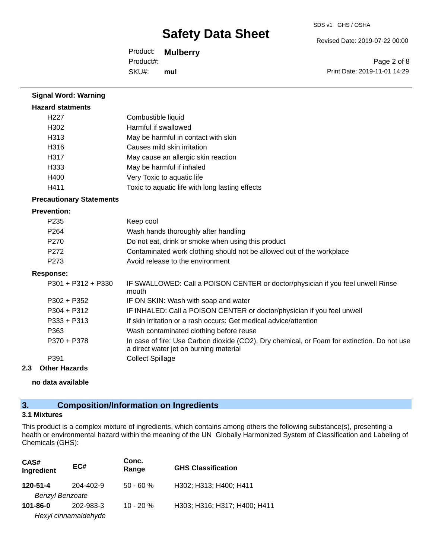Revised Date: 2019-07-22 00:00

Product: **Mulberry**  SKU#: Product#: **mul**

Page 2 of 8 Print Date: 2019-11-01 14:29

| <b>Signal Word: Warning</b>     |                                                                                                                                       |
|---------------------------------|---------------------------------------------------------------------------------------------------------------------------------------|
| <b>Hazard statments</b>         |                                                                                                                                       |
| H <sub>227</sub>                | Combustible liquid                                                                                                                    |
| H302                            | Harmful if swallowed                                                                                                                  |
| H313                            | May be harmful in contact with skin                                                                                                   |
| H316                            | Causes mild skin irritation                                                                                                           |
| H317                            | May cause an allergic skin reaction                                                                                                   |
| H333                            | May be harmful if inhaled                                                                                                             |
| H400                            | Very Toxic to aquatic life                                                                                                            |
| H411                            | Toxic to aquatic life with long lasting effects                                                                                       |
| <b>Precautionary Statements</b> |                                                                                                                                       |
| <b>Prevention:</b>              |                                                                                                                                       |
| P <sub>235</sub>                | Keep cool                                                                                                                             |
| P <sub>264</sub>                | Wash hands thoroughly after handling                                                                                                  |
| P270                            | Do not eat, drink or smoke when using this product                                                                                    |
| P272                            | Contaminated work clothing should not be allowed out of the workplace                                                                 |
| P <sub>273</sub>                | Avoid release to the environment                                                                                                      |
| <b>Response:</b>                |                                                                                                                                       |
| P301 + P312 + P330              | IF SWALLOWED: Call a POISON CENTER or doctor/physician if you feel unwell Rinse<br>mouth                                              |
| $P302 + P352$                   | IF ON SKIN: Wash with soap and water                                                                                                  |
| $P304 + P312$                   | IF INHALED: Call a POISON CENTER or doctor/physician if you feel unwell                                                               |
| P333 + P313                     | If skin irritation or a rash occurs: Get medical advice/attention                                                                     |
| P363                            | Wash contaminated clothing before reuse                                                                                               |
| P370 + P378                     | In case of fire: Use Carbon dioxide (CO2), Dry chemical, or Foam for extinction. Do not use<br>a direct water jet on burning material |
| P391                            | <b>Collect Spillage</b>                                                                                                               |
| <b>Other Hazards</b><br>2.3     |                                                                                                                                       |
|                                 |                                                                                                                                       |

**no data available**

# **3. Composition/Information on Ingredients**

## **3.1 Mixtures**

This product is a complex mixture of ingredients, which contains among others the following substance(s), presenting a health or environmental hazard within the meaning of the UN Globally Harmonized System of Classification and Labeling of Chemicals (GHS):

| CAS#<br>Ingredient     | EC#                  | Conc.<br>Range | <b>GHS Classification</b>    |
|------------------------|----------------------|----------------|------------------------------|
| $120 - 51 - 4$         | 204-402-9            | $50 - 60 %$    | H302; H313; H400; H411       |
| <b>Benzyl Benzoate</b> |                      |                |                              |
| $101 - 86 - 0$         | 202-983-3            | $10 - 20 \%$   | H303; H316; H317; H400; H411 |
|                        | Hexyl cinnamaldehyde |                |                              |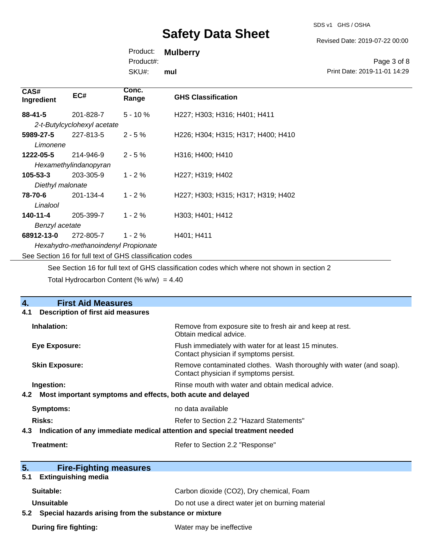SDS v1 GHS / OSHA

Revised Date: 2019-07-22 00:00

Product: **Mulberry** 

Product#:

SKU#: **mul**

Page 3 of 8 Print Date: 2019-11-01 14:29

| CAS#<br>Ingredient                                       | EC#                         | Conc.<br>Range | <b>GHS Classification</b>          |
|----------------------------------------------------------|-----------------------------|----------------|------------------------------------|
| $88 - 41 - 5$                                            | 201-828-7                   | $5 - 10%$      | H227; H303; H316; H401; H411       |
|                                                          | 2-t-Butylcyclohexyl acetate |                |                                    |
| 5989-27-5                                                | 227-813-5                   | $2 - 5%$       | H226; H304; H315; H317; H400; H410 |
| Limonene                                                 |                             |                |                                    |
| 1222-05-5                                                | 214-946-9                   | $2 - 5%$       | H316; H400; H410                   |
|                                                          | Hexamethylindanopyran       |                |                                    |
| $105 - 53 - 3$                                           | 203-305-9                   | $1 - 2%$       | H227; H319; H402                   |
| Diethyl malonate                                         |                             |                |                                    |
| 78-70-6                                                  | 201-134-4                   | $1 - 2 \%$     | H227; H303; H315; H317; H319; H402 |
| Linalool                                                 |                             |                |                                    |
| 140-11-4                                                 | 205-399-7                   | $1 - 2%$       | H303; H401; H412                   |
| Benzyl acetate                                           |                             |                |                                    |
| 68912-13-0                                               | 272-805-7                   | $1 - 2 \%$     | H401; H411                         |
| Hexahydro-methanoindenyl Propionate                      |                             |                |                                    |
| See Section 16 for full text of GHS classification codes |                             |                |                                    |

See Section 16 for full text of GHS classification codes which where not shown in section 2

Total Hydrocarbon Content (%  $w/w$ ) = 4.40

| $\overline{4}$ .<br><b>First Aid Measures</b>                                     |                                                                                                               |  |
|-----------------------------------------------------------------------------------|---------------------------------------------------------------------------------------------------------------|--|
| <b>Description of first aid measures</b><br>4.1                                   |                                                                                                               |  |
| Inhalation:                                                                       | Remove from exposure site to fresh air and keep at rest.<br>Obtain medical advice.                            |  |
| <b>Eye Exposure:</b>                                                              | Flush immediately with water for at least 15 minutes.<br>Contact physician if symptoms persist.               |  |
| <b>Skin Exposure:</b>                                                             | Remove contaminated clothes. Wash thoroughly with water (and soap).<br>Contact physician if symptoms persist. |  |
| Ingestion:                                                                        | Rinse mouth with water and obtain medical advice.                                                             |  |
| Most important symptoms and effects, both acute and delayed<br>4.2                |                                                                                                               |  |
| <b>Symptoms:</b>                                                                  | no data available                                                                                             |  |
| Risks:                                                                            | Refer to Section 2.2 "Hazard Statements"                                                                      |  |
| Indication of any immediate medical attention and special treatment needed<br>4.3 |                                                                                                               |  |
| Treatment:<br>Refer to Section 2.2 "Response"                                     |                                                                                                               |  |
|                                                                                   |                                                                                                               |  |
| 5 <sub>1</sub><br><b>Fire-Fighting measures</b>                                   |                                                                                                               |  |
| <b>Extinguishing media</b><br>5.1                                                 |                                                                                                               |  |
| Suitable:                                                                         | Carbon dioxide (CO2), Dry chemical, Foam                                                                      |  |
| Unsuitable                                                                        | Do not use a direct water jet on burning material                                                             |  |
| 5.2 Special hazards arising from the substance or mixture                         |                                                                                                               |  |
| <b>During fire fighting:</b>                                                      | Water may be ineffective                                                                                      |  |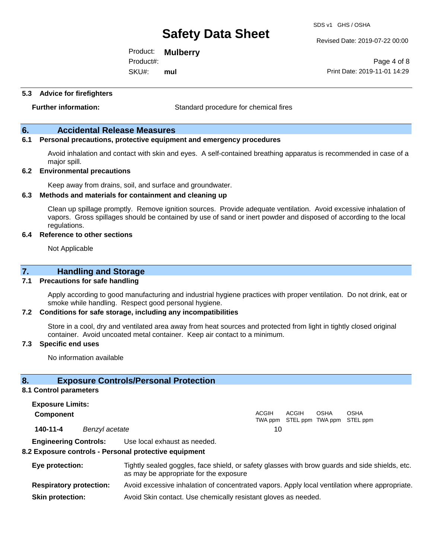SDS v1 GHS / OSHA

Revised Date: 2019-07-22 00:00

Product: **Mulberry**  SKU#: Product#: **mul**

Page 4 of 8 Print Date: 2019-11-01 14:29

#### **5.3 Advice for firefighters**

**Further information:** Standard procedure for chemical fires

## **6. Accidental Release Measures**

## **6.1 Personal precautions, protective equipment and emergency procedures**

Avoid inhalation and contact with skin and eyes. A self-contained breathing apparatus is recommended in case of a major spill.

#### **6.2 Environmental precautions**

Keep away from drains, soil, and surface and groundwater.

#### **6.3 Methods and materials for containment and cleaning up**

Clean up spillage promptly. Remove ignition sources. Provide adequate ventilation. Avoid excessive inhalation of vapors. Gross spillages should be contained by use of sand or inert powder and disposed of according to the local regulations.

#### **6.4 Reference to other sections**

Not Applicable

## **7. Handling and Storage**

#### **7.1 Precautions for safe handling**

Apply according to good manufacturing and industrial hygiene practices with proper ventilation. Do not drink, eat or smoke while handling. Respect good personal hygiene.

#### **7.2 Conditions for safe storage, including any incompatibilities**

Store in a cool, dry and ventilated area away from heat sources and protected from light in tightly closed original container. Avoid uncoated metal container. Keep air contact to a minimum.

#### **7.3 Specific end uses**

No information available

## **8. Exposure Controls/Personal Protection**

#### **8.1 Control parameters**

**Exposure Limits: Component** ACGIH TWA ppm STEL ppm TWA ppm STEL ppm ACGIH OSHA OSHA **140-11-4** *Benzyl acetate* 10

**Engineering Controls:** Use local exhaust as needed.

#### **8.2 Exposure controls - Personal protective equipment**

| Eye protection:                | Tightly sealed goggles, face shield, or safety glasses with brow guards and side shields, etc.<br>as may be appropriate for the exposure |
|--------------------------------|------------------------------------------------------------------------------------------------------------------------------------------|
| <b>Respiratory protection:</b> | Avoid excessive inhalation of concentrated vapors. Apply local ventilation where appropriate.                                            |
| <b>Skin protection:</b>        | Avoid Skin contact. Use chemically resistant gloves as needed.                                                                           |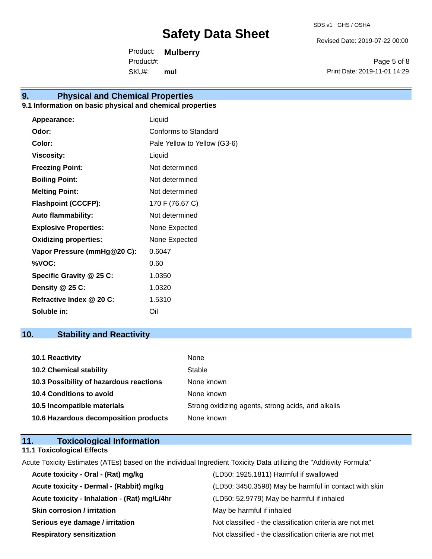Revised Date: 2019-07-22 00:00

Product: **Mulberry**  SKU#: Product#: **mul**

Page 5 of 8 Print Date: 2019-11-01 14:29

# **9. Physical and Chemical Properties**

## **9.1 Information on basic physical and chemical properties**

| Appearance:                  | Liquid                       |
|------------------------------|------------------------------|
| Odor:                        | Conforms to Standard         |
| Color:                       | Pale Yellow to Yellow (G3-6) |
| <b>Viscosity:</b>            | Liquid                       |
| <b>Freezing Point:</b>       | Not determined               |
| <b>Boiling Point:</b>        | Not determined               |
| <b>Melting Point:</b>        | Not determined               |
| <b>Flashpoint (CCCFP):</b>   | 170 F (76.67 C)              |
| <b>Auto flammability:</b>    | Not determined               |
| <b>Explosive Properties:</b> | None Expected                |
| <b>Oxidizing properties:</b> | None Expected                |
| Vapor Pressure (mmHg@20 C):  | 0.6047                       |
| %VOC:                        | 0.60                         |
| Specific Gravity @ 25 C:     | 1.0350                       |
| Density $@25C$ :             | 1.0320                       |
| Refractive Index @ 20 C:     | 1.5310                       |
| Soluble in:                  | Oil                          |

# **10. Stability and Reactivity**

| 10.1 Reactivity                         | None                                               |
|-----------------------------------------|----------------------------------------------------|
| <b>10.2 Chemical stability</b>          | Stable                                             |
| 10.3 Possibility of hazardous reactions | None known                                         |
| <b>10.4 Conditions to avoid</b>         | None known                                         |
| 10.5 Incompatible materials             | Strong oxidizing agents, strong acids, and alkalis |
| 10.6 Hazardous decomposition products   | None known                                         |

## **11. Toxicological Information 11.1 Toxicological Effects**

Acute Toxicity Estimates (ATEs) based on the individual Ingredient Toxicity Data utilizing the "Additivity Formula"

| Acute toxicity - Oral - (Rat) mg/kg          | (LD50: 1925.1811) Harmful if swallowed                   |
|----------------------------------------------|----------------------------------------------------------|
| Acute toxicity - Dermal - (Rabbit) mg/kg     | (LD50: 3450.3598) May be harmful in contact with skin    |
| Acute toxicity - Inhalation - (Rat) mg/L/4hr | (LD50: 52.9779) May be harmful if inhaled                |
| <b>Skin corrosion / irritation</b>           | May be harmful if inhaled                                |
| Serious eye damage / irritation              | Not classified - the classification criteria are not met |
| <b>Respiratory sensitization</b>             | Not classified - the classification criteria are not met |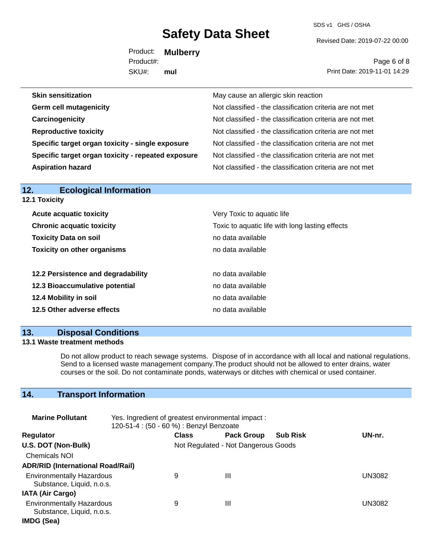SDS v1 GHS / OSHA

Revised Date: 2019-07-22 00:00

Product: **Mulberry**  SKU#: Product#: **mul**

Page 6 of 8 Print Date: 2019-11-01 14:29

| <b>Skin sensitization</b>                          | May cause an allergic skin reaction                      |
|----------------------------------------------------|----------------------------------------------------------|
| <b>Germ cell mutagenicity</b>                      | Not classified - the classification criteria are not met |
| Carcinogenicity                                    | Not classified - the classification criteria are not met |
| <b>Reproductive toxicity</b>                       | Not classified - the classification criteria are not met |
| Specific target organ toxicity - single exposure   | Not classified - the classification criteria are not met |
| Specific target organ toxicity - repeated exposure | Not classified - the classification criteria are not met |
| <b>Aspiration hazard</b>                           | Not classified - the classification criteria are not met |
|                                                    |                                                          |

| 12.<br><b>Ecological Information</b> |                                                 |
|--------------------------------------|-------------------------------------------------|
| 12.1 Toxicity                        |                                                 |
| <b>Acute acquatic toxicity</b>       | Very Toxic to aquatic life                      |
| <b>Chronic acquatic toxicity</b>     | Toxic to aquatic life with long lasting effects |
| <b>Toxicity Data on soil</b>         | no data available                               |
| <b>Toxicity on other organisms</b>   | no data available                               |
| 12.2 Persistence and degradability   | no data available                               |
| 12.3 Bioaccumulative potential       | no data available                               |
| 12.4 Mobility in soil                | no data available                               |
| 12.5 Other adverse effects           | no data available                               |

# **13. Disposal Conditions**

## **13.1 Waste treatment methods**

Do not allow product to reach sewage systems. Dispose of in accordance with all local and national regulations. Send to a licensed waste management company.The product should not be allowed to enter drains, water courses or the soil. Do not contaminate ponds, waterways or ditches with chemical or used container.

# **14. Transport Information**

| <b>Marine Pollutant</b>                                       | Yes. Ingredient of greatest environmental impact:<br>120-51-4 : (50 - 60 %) : Benzyl Benzoate |                                     |                   |                 |               |
|---------------------------------------------------------------|-----------------------------------------------------------------------------------------------|-------------------------------------|-------------------|-----------------|---------------|
| <b>Regulator</b>                                              |                                                                                               | <b>Class</b>                        | <b>Pack Group</b> | <b>Sub Risk</b> | UN-nr.        |
| U.S. DOT (Non-Bulk)                                           |                                                                                               | Not Regulated - Not Dangerous Goods |                   |                 |               |
| <b>Chemicals NOI</b>                                          |                                                                                               |                                     |                   |                 |               |
| <b>ADR/RID (International Road/Rail)</b>                      |                                                                                               |                                     |                   |                 |               |
| <b>Environmentally Hazardous</b><br>Substance, Liquid, n.o.s. |                                                                                               | 9                                   | Ш                 |                 | <b>UN3082</b> |
| <b>IATA (Air Cargo)</b>                                       |                                                                                               |                                     |                   |                 |               |
| <b>Environmentally Hazardous</b><br>Substance, Liquid, n.o.s. |                                                                                               | 9                                   | Ш                 |                 | UN3082        |
| IMDG (Sea)                                                    |                                                                                               |                                     |                   |                 |               |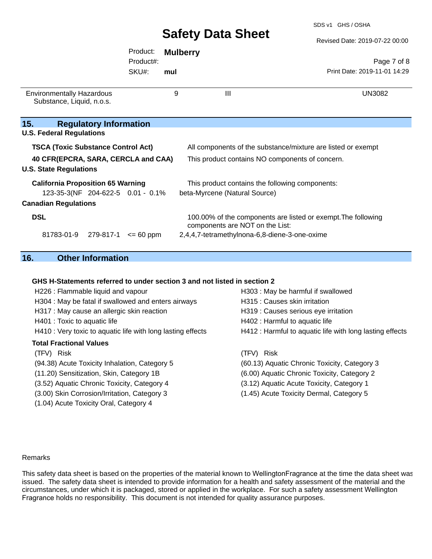Revised Date: 2019-07-22 00:00

|                                                                      |                                   | Product:      |     | <b>Mulberry</b>                                              |                                                               |  |
|----------------------------------------------------------------------|-----------------------------------|---------------|-----|--------------------------------------------------------------|---------------------------------------------------------------|--|
|                                                                      |                                   | Product#:     |     |                                                              | Page 7 of 8                                                   |  |
|                                                                      |                                   | SKU#:         | mul |                                                              | Print Date: 2019-11-01 14:29                                  |  |
| <b>Environmentally Hazardous</b><br>Substance, Liquid, n.o.s.        |                                   |               | 9   | $\mathbf{III}$                                               | UN3082                                                        |  |
| 15.<br><b>U.S. Federal Regulations</b>                               | <b>Regulatory Information</b>     |               |     |                                                              |                                                               |  |
| <b>TSCA (Toxic Substance Control Act)</b>                            |                                   |               |     | All components of the substance/mixture are listed or exempt |                                                               |  |
| 40 CFR(EPCRA, SARA, CERCLA and CAA)<br><b>U.S. State Regulations</b> |                                   |               |     | This product contains NO components of concern.              |                                                               |  |
| <b>California Proposition 65 Warning</b>                             |                                   |               |     | This product contains the following components:              |                                                               |  |
|                                                                      | 123-35-3(NF 204-622-5 0.01 - 0.1% |               |     | beta-Myrcene (Natural Source)                                |                                                               |  |
| <b>Canadian Regulations</b>                                          |                                   |               |     |                                                              |                                                               |  |
| <b>DSL</b>                                                           |                                   |               |     | components are NOT on the List:                              | 100.00% of the components are listed or exempt. The following |  |
| 81783-01-9                                                           | 279-817-1                         | $\leq$ 60 ppm |     | 2,4,4,7-tetramethylnona-6,8-diene-3-one-oxime                |                                                               |  |
|                                                                      |                                   |               |     |                                                              |                                                               |  |

# **16. Other Information**

### **GHS H-Statements referred to under section 3 and not listed in section 2**

| H226 : Flammable liquid and vapour                          | H303 : May be harmful if swallowed                       |
|-------------------------------------------------------------|----------------------------------------------------------|
| H304 : May be fatal if swallowed and enters airways         | H315 : Causes skin irritation                            |
| H317 : May cause an allergic skin reaction                  | H319 : Causes serious eye irritation                     |
| H401 : Toxic to aquatic life                                | H402 : Harmful to aquatic life                           |
| H410 : Very toxic to aquatic life with long lasting effects | H412 : Harmful to aquatic life with long lasting effects |
| <b>Total Fractional Values</b>                              |                                                          |
| (TFV) Risk                                                  | (TFV) Risk                                               |
| (94.38) Acute Toxicity Inhalation, Category 5               | (60.13) Aquatic Chronic Toxicity, Category 3             |
| (11.20) Sensitization, Skin, Category 1B                    | (6.00) Aquatic Chronic Toxicity, Category 2              |
| (3.52) Aquatic Chronic Toxicity, Category 4                 | (3.12) Aquatic Acute Toxicity, Category 1                |
| (3.00) Skin Corrosion/Irritation, Category 3                | (1.45) Acute Toxicity Dermal, Category 5                 |
| (1.04) Acute Toxicity Oral, Category 4                      |                                                          |

#### Remarks

This safety data sheet is based on the properties of the material known to WellingtonFragrance at the time the data sheet was issued. The safety data sheet is intended to provide information for a health and safety assessment of the material and the circumstances, under which it is packaged, stored or applied in the workplace. For such a safety assessment Wellington Fragrance holds no responsibility. This document is not intended for quality assurance purposes.